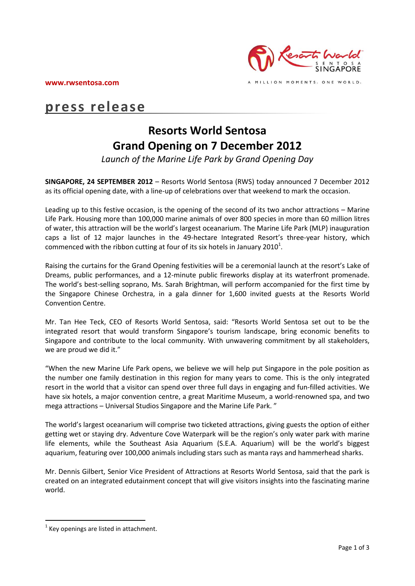**www.rwsentosa.com**



A MILLION MOMENTS. ONE WORLD.

# **press release**

# **Resorts World Sentosa Grand Opening on 7 December 2012**

*Launch of the Marine Life Park by Grand Opening Day* 

**SINGAPORE, 24 SEPTEMBER 2012** – Resorts World Sentosa (RWS) today announced 7 December 2012 as its official opening date, with a line-up of celebrations over that weekend to mark the occasion.

Leading up to this festive occasion, is the opening of the second of its two anchor attractions – Marine Life Park. Housing more than 100,000 marine animals of over 800 species in more than 60 million litres of water, this attraction will be the world's largest oceanarium. The Marine Life Park (MLP) inauguration caps a list of 12 major launches in the 49-hectare Integrated Resort's three-year history, which commenced with the ribbon cutting at four of its six hotels in January 2010<sup>1</sup>.

Raising the curtains for the Grand Opening festivities will be a ceremonial launch at the resort's Lake of Dreams, public performances, and a 12-minute public fireworks display at its waterfront promenade. The world's best-selling soprano, Ms. Sarah Brightman, will perform accompanied for the first time by the Singapore Chinese Orchestra, in a gala dinner for 1,600 invited guests at the Resorts World Convention Centre.

Mr. Tan Hee Teck, CEO of Resorts World Sentosa, said: "Resorts World Sentosa set out to be the integrated resort that would transform Singapore's tourism landscape, bring economic benefits to Singapore and contribute to the local community. With unwavering commitment by all stakeholders, we are proud we did it."

"When the new Marine Life Park opens, we believe we will help put Singapore in the pole position as the number one family destination in this region for many years to come. This is the only integrated resort in the world that a visitor can spend over three full days in engaging and fun-filled activities. We have six hotels, a major convention centre, a great Maritime Museum, a world-renowned spa, and two mega attractions – Universal Studios Singapore and the Marine Life Park. "

The world's largest oceanarium will comprise two ticketed attractions, giving guests the option of either getting wet or staying dry. Adventure Cove Waterpark will be the region's only water park with marine life elements, while the Southeast Asia Aquarium (S.E.A. Aquarium) will be the world's biggest aquarium, featuring over 100,000 animals including stars such as manta rays and hammerhead sharks.

Mr. Dennis Gilbert, Senior Vice President of Attractions at Resorts World Sentosa, said that the park is created on an integrated edutainment concept that will give visitors insights into the fascinating marine world.

 $\overline{a}$ 

 $1$  Key openings are listed in attachment.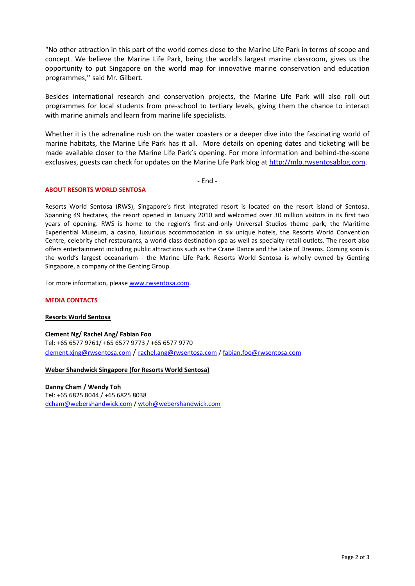"No other attraction in this part of the world comes close to the Marine Life Park in terms of scope and concept. We believe the Marine Life Park, being the world's largest marine classroom, gives us the opportunity to put Singapore on the world map for innovative marine conservation and education programmes,'' said Mr. Gilbert.

Besides international research and conservation projects, the Marine Life Park will also roll out programmes for local students from pre-school to tertiary levels, giving them the chance to interact with marine animals and learn from marine life specialists.

Whether it is the adrenaline rush on the water coasters or a deeper dive into the fascinating world of marine habitats, the Marine Life Park has it all. More details on opening dates and ticketing will be made available closer to the Marine Life Park's opening. For more information and behind-the-scene exclusives, guests can check for updates on the Marine Life Park blog a[t http://mlp.rwsentosablog.com.](http://mlp.rwsentosablog.com/)

- End -

## **ABOUT RESORTS WORLD SENTOSA**

Resorts World Sentosa (RWS), Singapore's first integrated resort is located on the resort island of Sentosa. Spanning 49 hectares, the resort opened in January 2010 and welcomed over 30 million visitors in its first two years of opening. RWS is home to the region's first-and-only Universal Studios theme park, the Maritime Experiential Museum, a casino, luxurious accommodation in six unique hotels, the Resorts World Convention Centre, celebrity chef restaurants, a world-class destination spa as well as specialty retail outlets. The resort also offers entertainment including public attractions such as the Crane Dance and the Lake of Dreams. Coming soon is the world's largest oceanarium - the Marine Life Park. Resorts World Sentosa is wholly owned by Genting Singapore, a company of the Genting Group.

For more information, please [www.rwsentosa.com.](http://www.rwsentosa.com/)

## **MEDIA CONTACTS**

## **Resorts World Sentosa**

**Clement Ng/ Rachel Ang/ Fabian Foo** Tel: +65 6577 9761/ +65 6577 9773 / +65 6577 9770 [clement.xjng@rwsentosa.com](mailto:clement.xjng@rwsentosa.com) / [rachel.ang@rwsentosa.com](mailto:rachel.ang@rwsentosa.com) / [fabian.foo@rwsentosa.com](mailto:fabian.foo@rwsentosa.com)

## **Weber Shandwick Singapore (for Resorts World Sentosa)**

**Danny Cham / Wendy Toh** Tel: +65 6825 8044 / +65 6825 8038 [dcham@webershandwick.com](mailto:dcham@webershandwick.com) / [wtoh@webershandwick.com](mailto:wtoh@webershandwick.com)